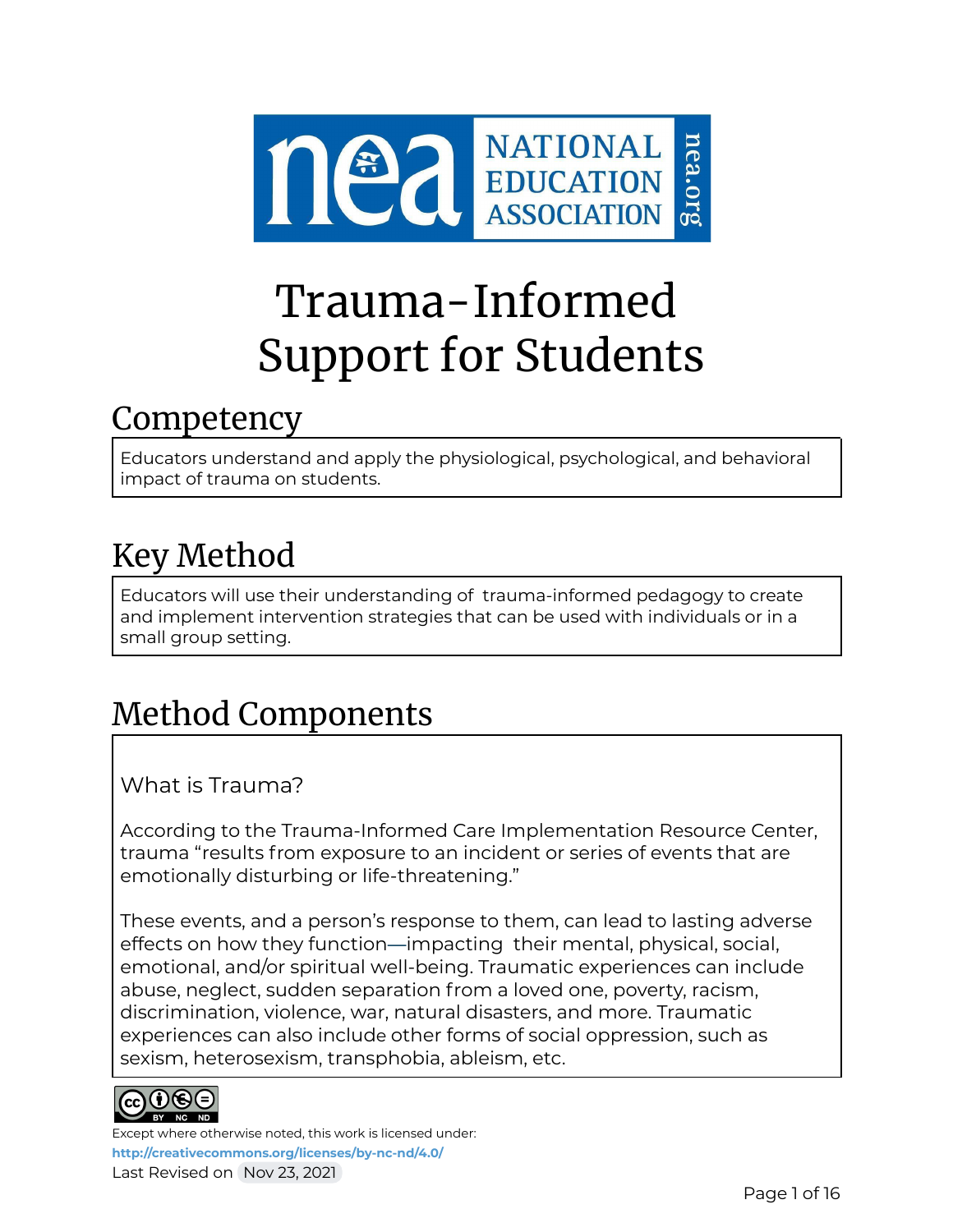

# Trauma-Informed Support for Students

### Competency

Educators understand and apply the physiological, psychological, and behavioral impact of trauma on students.

# Key Method

Educators will use their understanding of trauma-informed pedagogy to create and implement intervention strategies that can be used with individuals or in a small group setting.

# Method Components

What is Trauma?

According to the Trauma-Informed Care Implementation Resource Center, trauma "results from exposure to an incident or series of events that are emotionally disturbing or life-threatening."

These events, and a person's response to them, can lead to lasting adverse effects on how they function—impacting their mental, physical, social, emotional, and/or spiritual well-being. Traumatic experiences can include abuse, neglect, sudden separation from a loved one, poverty, racism, discrimination, violence, war, natural disasters, and more. Traumatic experiences can also include other forms of social oppression, such as sexism, heterosexism, transphobia, ableism, etc.

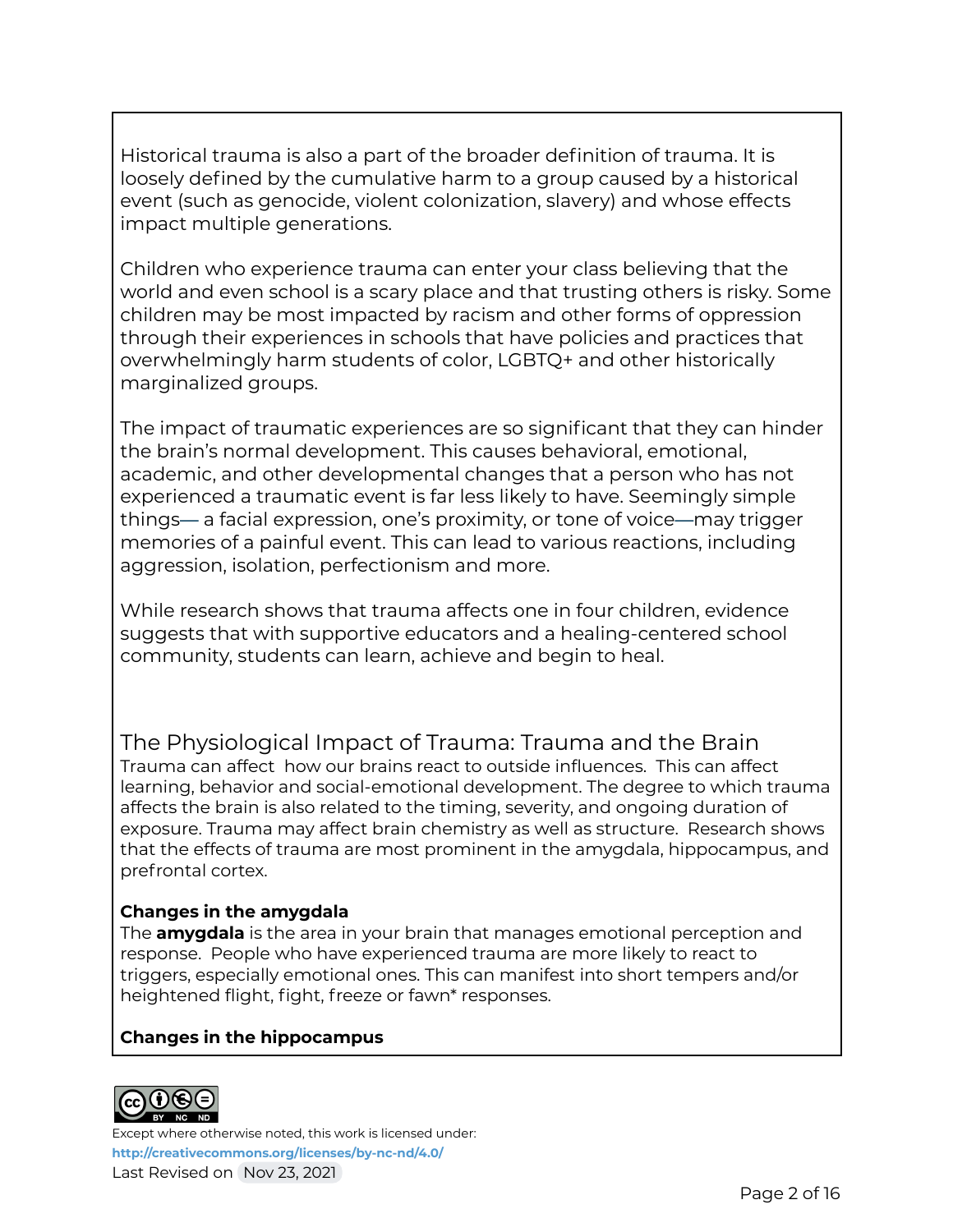Historical trauma is also a part of the broader definition of trauma. It is loosely defined by the cumulative harm to a group caused by a historical event (such as genocide, violent colonization, slavery) and whose effects impact multiple generations.

Children who experience trauma can enter your class believing that the world and even school is a scary place and that trusting others is risky. Some children may be most impacted by racism and other forms of oppression through their experiences in schools that have policies and practices that overwhelmingly harm students of color, LGBTQ+ and other historically marginalized groups.

The impact of traumatic experiences are so significant that they can hinder the brain's normal development. This causes behavioral, emotional, academic, and other developmental changes that a person who has not experienced a traumatic event is far less likely to have. Seemingly simple things— a facial expression, one's proximity, or tone of voice—may trigger memories of a painful event. This can lead to various reactions, including aggression, isolation, perfectionism and more.

While research shows that trauma affects one in four children, evidence suggests that with supportive educators and a healing-centered school community, students can learn, achieve and begin to heal.

The Physiological Impact of Trauma: Trauma and the Brain Trauma can affect how our brains react to outside influences. This can affect learning, behavior and social-emotional development. The degree to which trauma affects the brain is also related to the timing, severity, and ongoing duration of exposure. Trauma may affect brain chemistry as well as structure. Research shows that the effects of trauma are most prominent in the amygdala, hippocampus, and prefrontal cortex.

### **Changes in the amygdala**

The **amygdala** is the area in your brain that manages emotional perception and response. People who have experienced trauma are more likely to react to triggers, especially emotional ones. This can manifest into short tempers and/or heightened flight, fight, freeze or fawn\* responses.

### **Changes in the hippocampus**

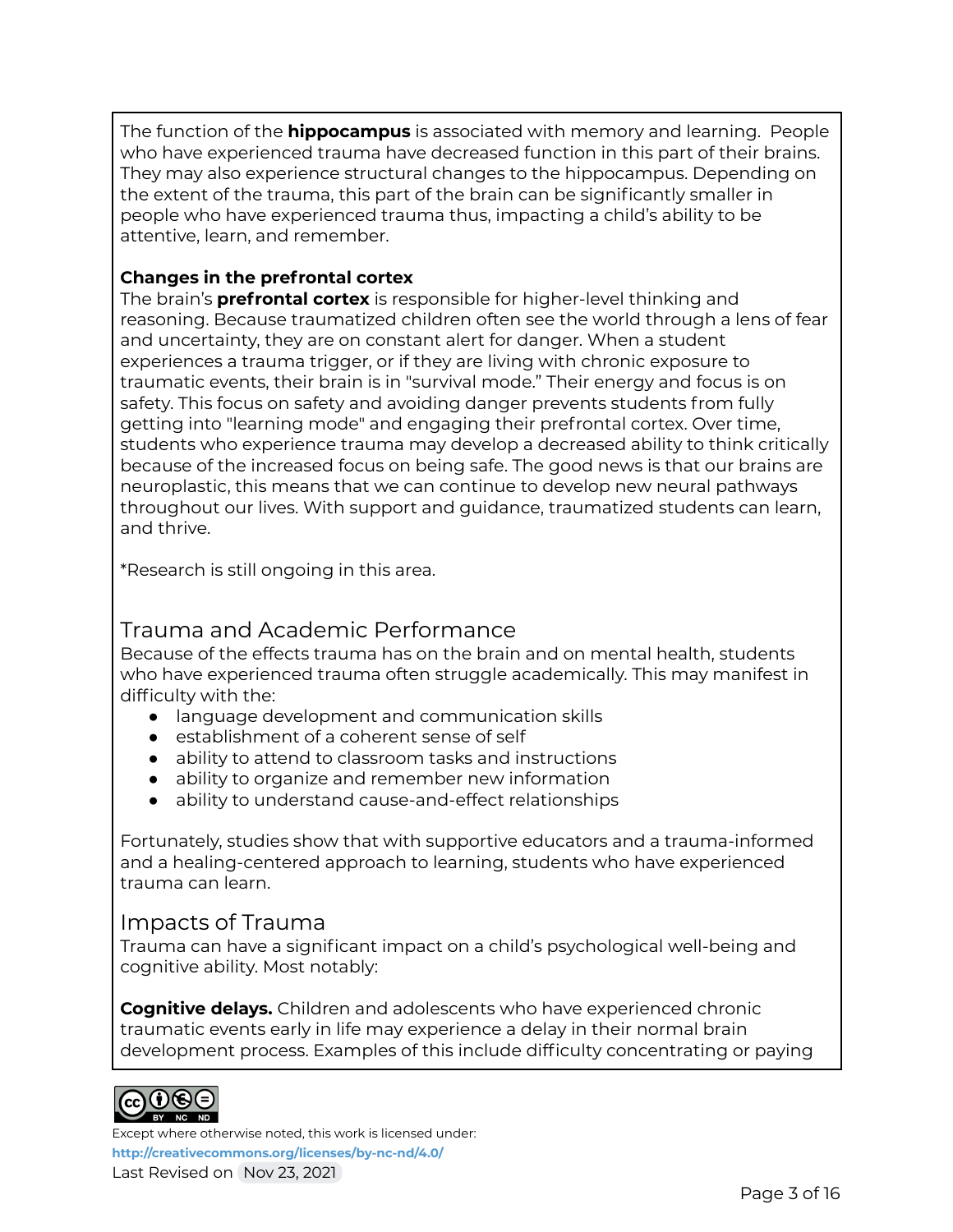The function of the **hippocampus** is associated with memory and learning. People who have experienced trauma have decreased function in this part of their brains. They may also experience structural changes to the hippocampus. Depending on the extent of the trauma, this part of the brain can be significantly smaller in people who have experienced trauma thus, impacting a child's ability to be attentive, learn, and remember.

### **Changes in the prefrontal cortex**

The brain's **prefrontal cortex** is responsible for higher-level thinking and reasoning. Because traumatized children often see the world through a lens of fear and uncertainty, they are on constant alert for danger. When a student experiences a trauma trigger, or if they are living with chronic exposure to traumatic events, their brain is in "survival mode." Their energy and focus is on safety. This focus on safety and avoiding danger prevents students from fully getting into "learning mode" and engaging their prefrontal cortex. Over time, students who experience trauma may develop a decreased ability to think critically because of the increased focus on being safe. The good news is that our brains are neuroplastic, this means that we can continue to develop new neural pathways throughout our lives. With support and guidance, traumatized students can learn, and thrive.

\*Research is still ongoing in this area.

### Trauma and Academic Performance

Because of the effects trauma has on the brain and on mental health, students who have experienced trauma often struggle academically. This may manifest in difficulty with the:

- language development and communication skills
- establishment of a coherent sense of self
- ability to attend to classroom tasks and instructions
- ability to organize and remember new information
- ability to understand cause-and-effect relationships

Fortunately, studies show that with supportive educators and a trauma-informed and a healing-centered approach to learning, students who have experienced trauma can learn.

### Impacts of Trauma

Trauma can have a significant impact on a child's psychological well-being and cognitive ability. Most notably:

**Cognitive delays.** Children and adolescents who have experienced chronic traumatic events early in life may experience a delay in their normal brain development process. Examples of this include difficulty concentrating or paying

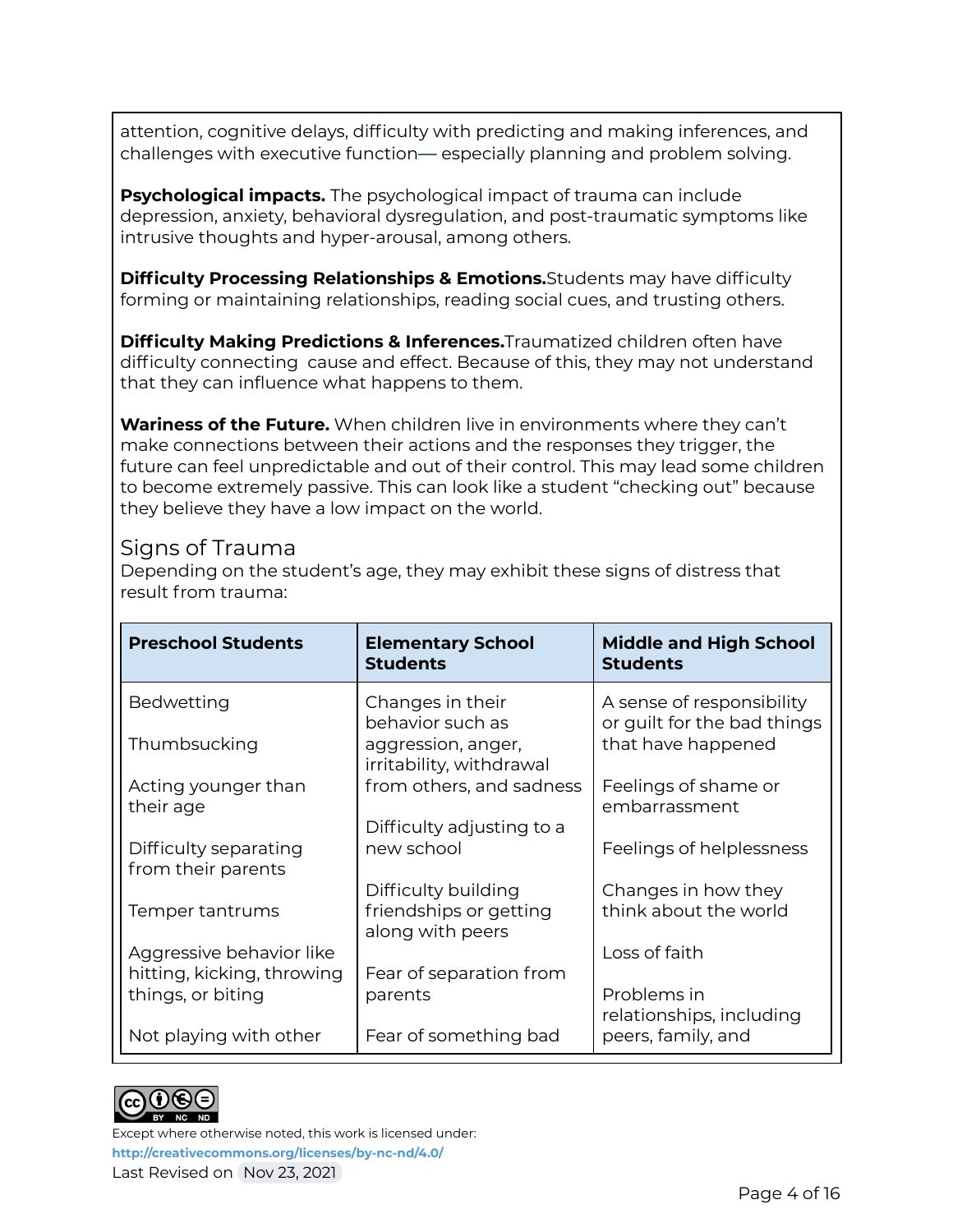attention, cognitive delays, difficulty with predicting and making inferences, and challenges with executive function— especially planning and problem solving.

**Psychological impacts.** The psychological impact of trauma can include depression, anxiety, behavioral dysregulation, and post-traumatic symptoms like intrusive thoughts and hyper-arousal, among others.

**Difficulty Processing Relationships & Emotions.**Students may have difficulty forming or maintaining relationships, reading social cues, and trusting others.

**Difficulty Making Predictions & Inferences.**Traumatized children often have difficulty connecting cause and effect. Because of this, they may not understand that they can influence what happens to them.

**Wariness of the Future.** When children live in environments where they can't make connections between their actions and the responses they trigger, the future can feel unpredictable and out of their control. This may lead some children to become extremely passive. This can look like a student "checking out" because they believe they have a low impact on the world.

### Signs of Trauma

Depending on the student's age, they may exhibit these signs of distress that result from trauma:

| <b>Preschool Students</b>                       | <b>Elementary School</b><br><b>Students</b>                       | <b>Middle and High School</b><br><b>Students</b>         |
|-------------------------------------------------|-------------------------------------------------------------------|----------------------------------------------------------|
| Bedwetting                                      | Changes in their<br>behavior such as                              | A sense of responsibility<br>or guilt for the bad things |
| Thumbsucking                                    | aggression, anger,<br>irritability, withdrawal                    | that have happened                                       |
| Acting younger than<br>their age                | from others, and sadness                                          | Feelings of shame or<br>embarrassment                    |
| Difficulty separating<br>from their parents     | Difficulty adjusting to a<br>new school                           | Feelings of helplessness                                 |
| Temper tantrums                                 | Difficulty building<br>friendships or getting<br>along with peers | Changes in how they<br>think about the world             |
| Aggressive behavior like                        |                                                                   | Loss of faith                                            |
| hitting, kicking, throwing<br>things, or biting | Fear of separation from<br>parents                                | Problems in<br>relationships, including                  |
| Not playing with other                          | Fear of something bad                                             | peers, family, and                                       |

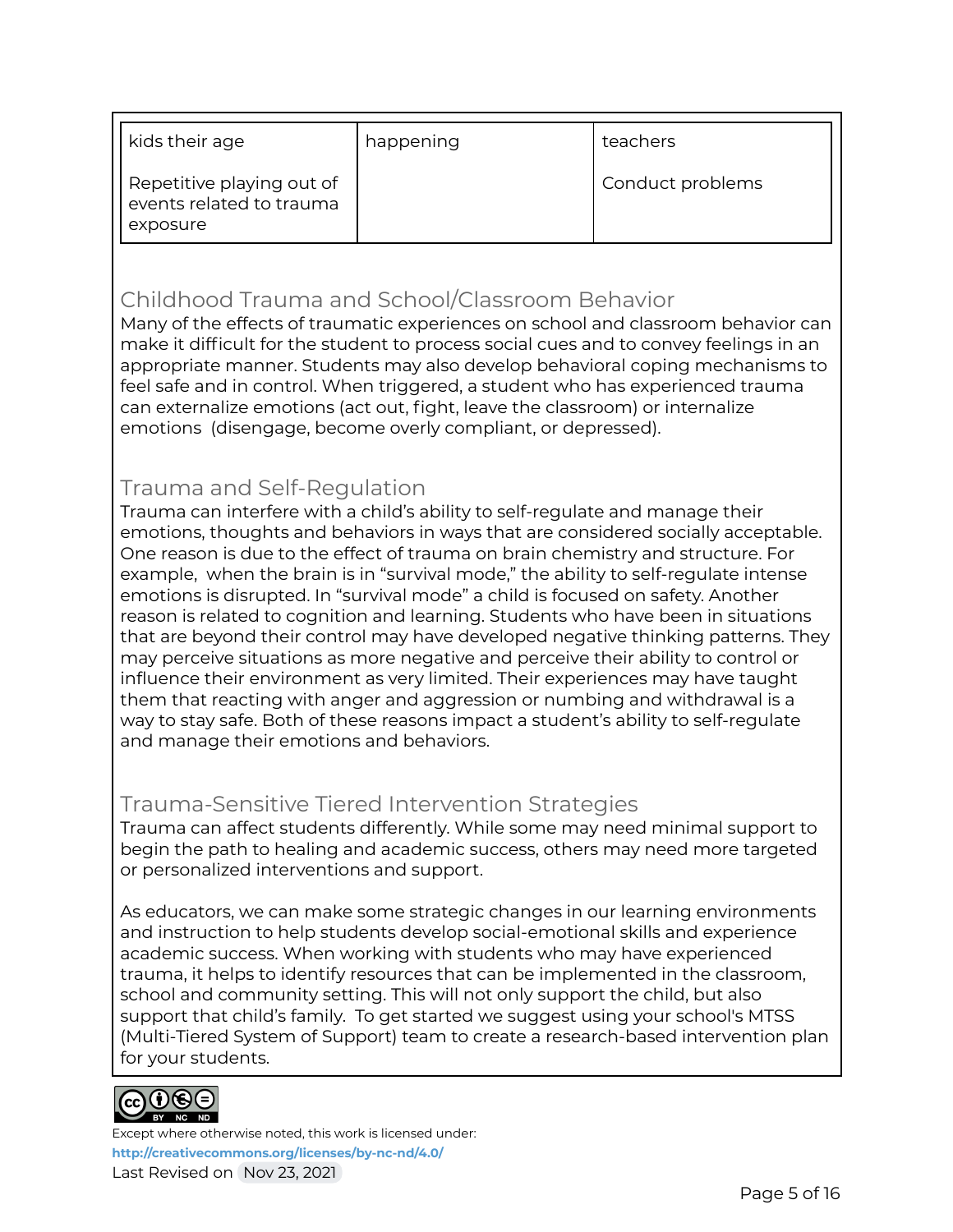| kids their age                                                    | happening | teachers         |
|-------------------------------------------------------------------|-----------|------------------|
| Repetitive playing out of<br>events related to trauma<br>exposure |           | Conduct problems |

### Childhood Trauma and School/Classroom Behavior

Many of the effects of traumatic experiences on school and classroom behavior can make it difficult for the student to process social cues and to convey feelings in an appropriate manner. Students may also develop behavioral coping mechanisms to feel safe and in control. When triggered, a student who has experienced trauma can externalize emotions (act out, fight, leave the classroom) or internalize emotions (disengage, become overly compliant, or depressed).

### Trauma and Self-Regulation

Trauma can interfere with a child's ability to self-regulate and manage their emotions, thoughts and behaviors in ways that are considered socially acceptable. One reason is due to the effect of trauma on brain chemistry and structure. For example, when the brain is in "survival mode," the ability to self-regulate intense emotions is disrupted. In "survival mode" a child is focused on safety. Another reason is related to cognition and learning. Students who have been in situations that are beyond their control may have developed negative thinking patterns. They may perceive situations as more negative and perceive their ability to control or influence their environment as very limited. Their experiences may have taught them that reacting with anger and aggression or numbing and withdrawal is a way to stay safe. Both of these reasons impact a student's ability to self-regulate and manage their emotions and behaviors.

### Trauma-Sensitive Tiered Intervention Strategies

Trauma can affect students differently. While some may need minimal support to begin the path to healing and academic success, others may need more targeted or personalized interventions and support.

As educators, we can make some strategic changes in our learning environments and instruction to help students develop social-emotional skills and experience academic success. When working with students who may have experienced trauma, it helps to identify resources that can be implemented in the classroom, school and community setting. This will not only support the child, but also support that child's family. To get started we suggest using your school's MTSS (Multi-Tiered System of Support) team to create a research-based intervention plan for your students.

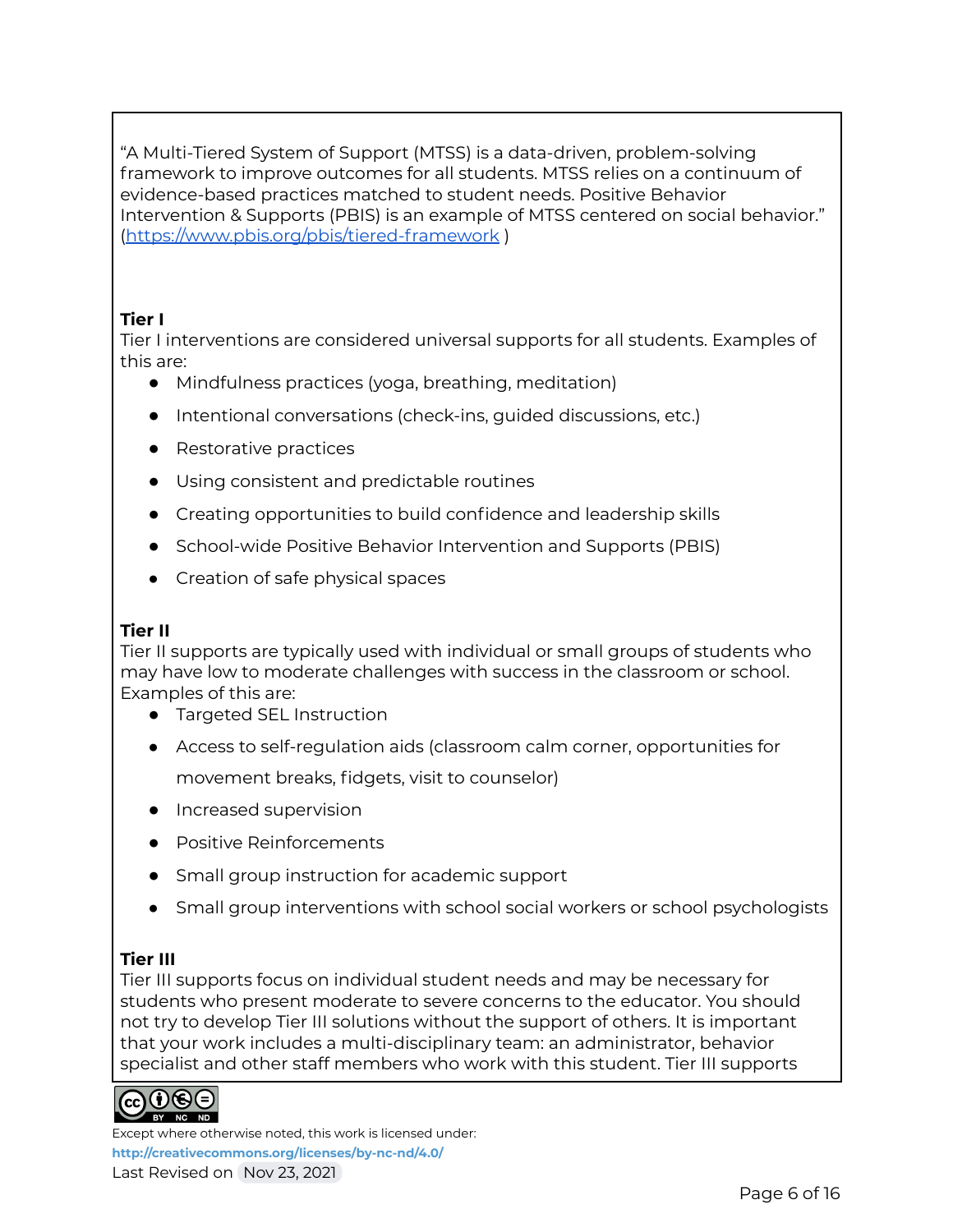"A Multi-Tiered System of Support (MTSS) is a data-driven, problem-solving framework to improve outcomes for all students. MTSS relies on a continuum of evidence-based practices matched to student needs. Positive Behavior Intervention & Supports (PBIS) is an example of MTSS centered on social behavior." (<https://www.pbis.org/pbis/tiered-framework> )

### **Tier I**

Tier I interventions are considered universal supports for all students. Examples of this are:

- Mindfulness practices (yoga, breathing, meditation)
- Intentional conversations (check-ins, guided discussions, etc.)
- Restorative practices
- Using consistent and predictable routines
- Creating opportunities to build confidence and leadership skills
- School-wide Positive Behavior Intervention and Supports (PBIS)
- Creation of safe physical spaces

### **Tier II**

Tier II supports are typically used with individual or small groups of students who may have low to moderate challenges with success in the classroom or school. Examples of this are:

- Targeted SEL Instruction
- Access to self-regulation aids (classroom calm corner, opportunities for movement breaks, fidgets, visit to counselor)
- Increased supervision
- Positive Reinforcements
- Small group instruction for academic support
- Small group interventions with school social workers or school psychologists

### **Tier III**

Tier III supports focus on individual student needs and may be necessary for students who present moderate to severe concerns to the educator. You should not try to develop Tier III solutions without the support of others. It is important that your work includes a multi-disciplinary team: an administrator, behavior specialist and other staff members who work with this student. Tier III supports

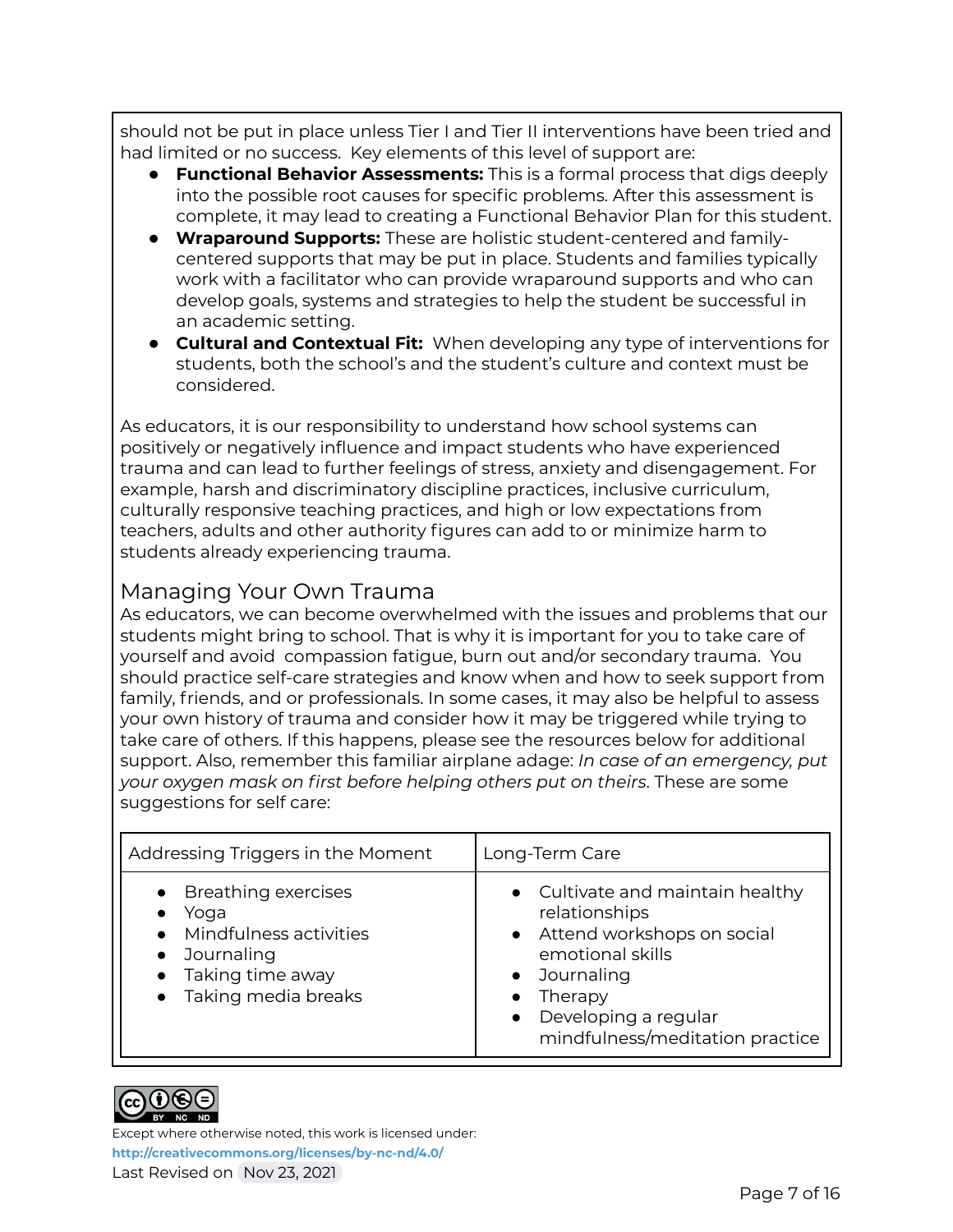should not be put in place unless Tier I and Tier II interventions have been tried and had limited or no success. Key elements of this level of support are:

- **Functional Behavior Assessments:** This is a formal process that digs deeply into the possible root causes for specific problems. After this assessment is complete, it may lead to creating a Functional Behavior Plan for this student.
- **Wraparound Supports:** These are holistic student-centered and familycentered supports that may be put in place. Students and families typically work with a facilitator who can provide wraparound supports and who can develop goals, systems and strategies to help the student be successful in an academic setting.
- **Cultural and Contextual Fit:** When developing any type of interventions for students, both the school's and the student's culture and context must be considered.

As educators, it is our responsibility to understand how school systems can positively or negatively influence and impact students who have experienced trauma and can lead to further feelings of stress, anxiety and disengagement. For example, harsh and discriminatory discipline practices, inclusive curriculum, culturally responsive teaching practices, and high or low expectations from teachers, adults and other authority figures can add to or minimize harm to students already experiencing trauma.

### Managing Your Own Trauma

As educators, we can become overwhelmed with the issues and problems that our students might bring to school. That is why it is important for you to take care of yourself and avoid compassion fatigue, burn out and/or secondary trauma. You should practice self-care strategies and know when and how to seek support from family, friends, and or professionals. In some cases, it may also be helpful to assess your own history of trauma and consider how it may be triggered while trying to take care of others. If this happens, please see the resources below for additional support. Also, remember this familiar airplane adage: *In case of an emergency, put your oxygen mask on first before helping others put on theirs*. These are some suggestions for self care:

| Addressing Triggers in the Moment                                                                                                              | Long-Term Care                                                                                                                                                                                           |
|------------------------------------------------------------------------------------------------------------------------------------------------|----------------------------------------------------------------------------------------------------------------------------------------------------------------------------------------------------------|
| • Breathing exercises<br>Yoga<br>• Mindfulness activities<br>Journaling<br>$\bullet$<br>• Taking time away<br>Taking media breaks<br>$\bullet$ | • Cultivate and maintain healthy<br>relationships<br>• Attend workshops on social<br>emotional skills<br>• Journaling<br>Therapy<br>Developing a regular<br>$\bullet$<br>mindfulness/meditation practice |

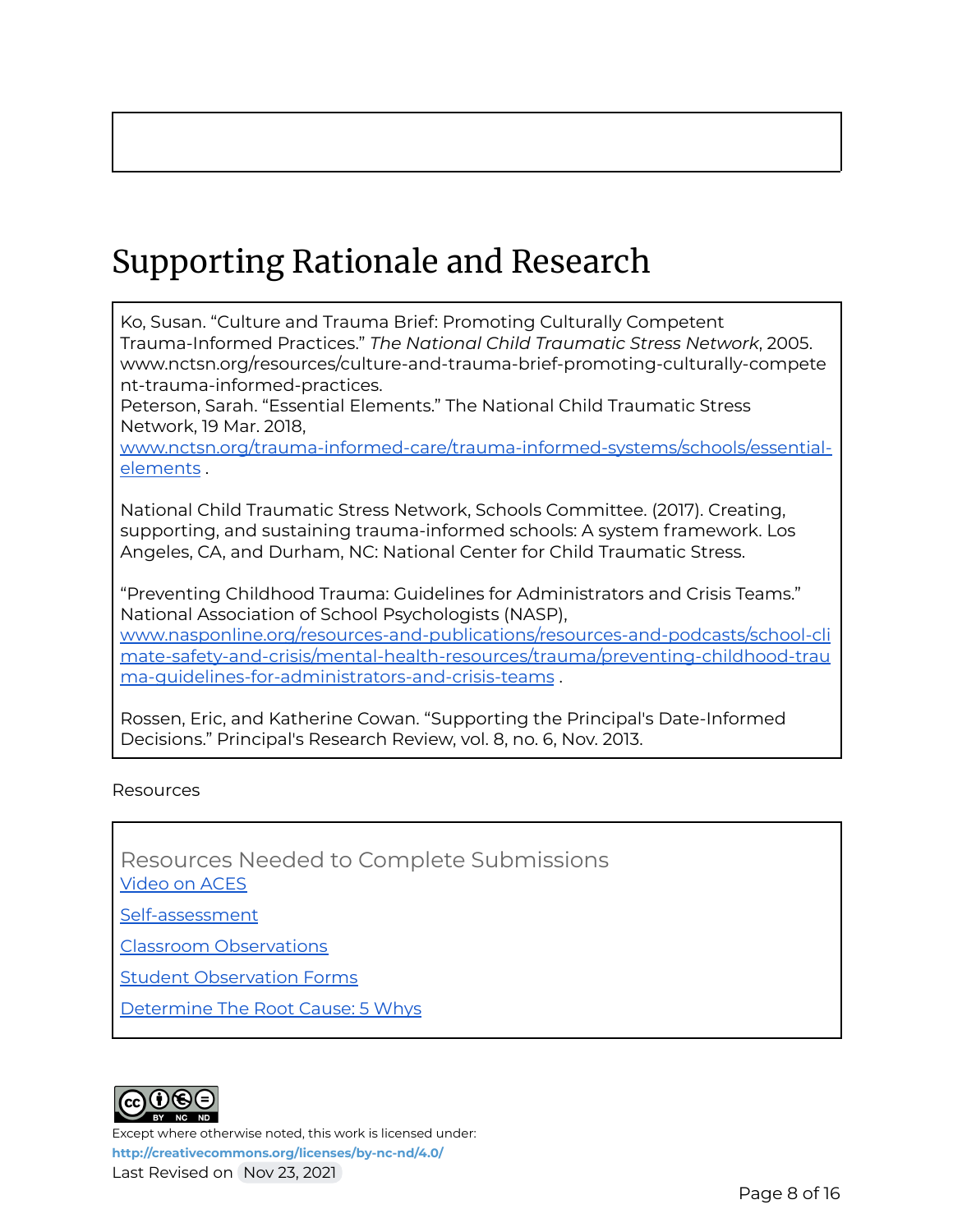# Supporting Rationale and Research

Ko, Susan. "Culture and Trauma Brief: Promoting Culturally Competent Trauma-Informed Practices." *The National Child Traumatic Stress Network*, 2005. www.nctsn.org/resources/culture-and-trauma-brief-promoting-culturally-compete nt-trauma-informed-practices.

Peterson, Sarah. "Essential Elements." The National Child Traumatic Stress Network, 19 Mar. 2018,

[www.nctsn.org/trauma-informed-care/trauma-informed-systems/schools/essential](http://www.nctsn.org/trauma-informed-care/trauma-informed-systems/schools/essential-elements)[elements](http://www.nctsn.org/trauma-informed-care/trauma-informed-systems/schools/essential-elements) .

National Child Traumatic Stress Network, Schools Committee. (2017). Creating, supporting, and sustaining trauma-informed schools: A system framework. Los Angeles, CA, and Durham, NC: National Center for Child Traumatic Stress.

"Preventing Childhood Trauma: Guidelines for Administrators and Crisis Teams." National Association of School Psychologists (NASP),

[www.nasponline.org/resources-and-publications/resources-and-podcasts/school-cli](http://www.nasponline.org/resources-and-publications/resources-and-podcasts/school-climate-safety-and-crisis/mental-health-resources/trauma/preventing-childhood-trauma-guidelines-for-administrators-and-crisis-teams) [mate-safety-and-crisis/mental-health-resources/trauma/preventing-childhood-trau](http://www.nasponline.org/resources-and-publications/resources-and-podcasts/school-climate-safety-and-crisis/mental-health-resources/trauma/preventing-childhood-trauma-guidelines-for-administrators-and-crisis-teams) [ma-guidelines-for-administrators-and-crisis-teams](http://www.nasponline.org/resources-and-publications/resources-and-podcasts/school-climate-safety-and-crisis/mental-health-resources/trauma/preventing-childhood-trauma-guidelines-for-administrators-and-crisis-teams) .

Rossen, Eric, and Katherine Cowan. "Supporting the Principal's Date-Informed Decisions." Principal's Research Review, vol. 8, no. 6, Nov. 2013.

#### **Resources**

Resources Needed to Complete Submissions [Video](https://youtu.be/XHgLYI9KZ-A) on ACES

[Self-assessment](https://www.npr.org/sections/health-shots/2015/03/02/387007941/take-the-ace-quiz-and-learn-what-it-does-and-doesnt-mean)

Classroom [Observations](http://observation)

Student [Observation](https://www.sampleforms.com/student-observation-form.html) Forms

[Determine](https://www.isixsigma.com/tools-templates/cause-effect/determine-root-cause-5-whys/) The Root Cause: 5 Whys

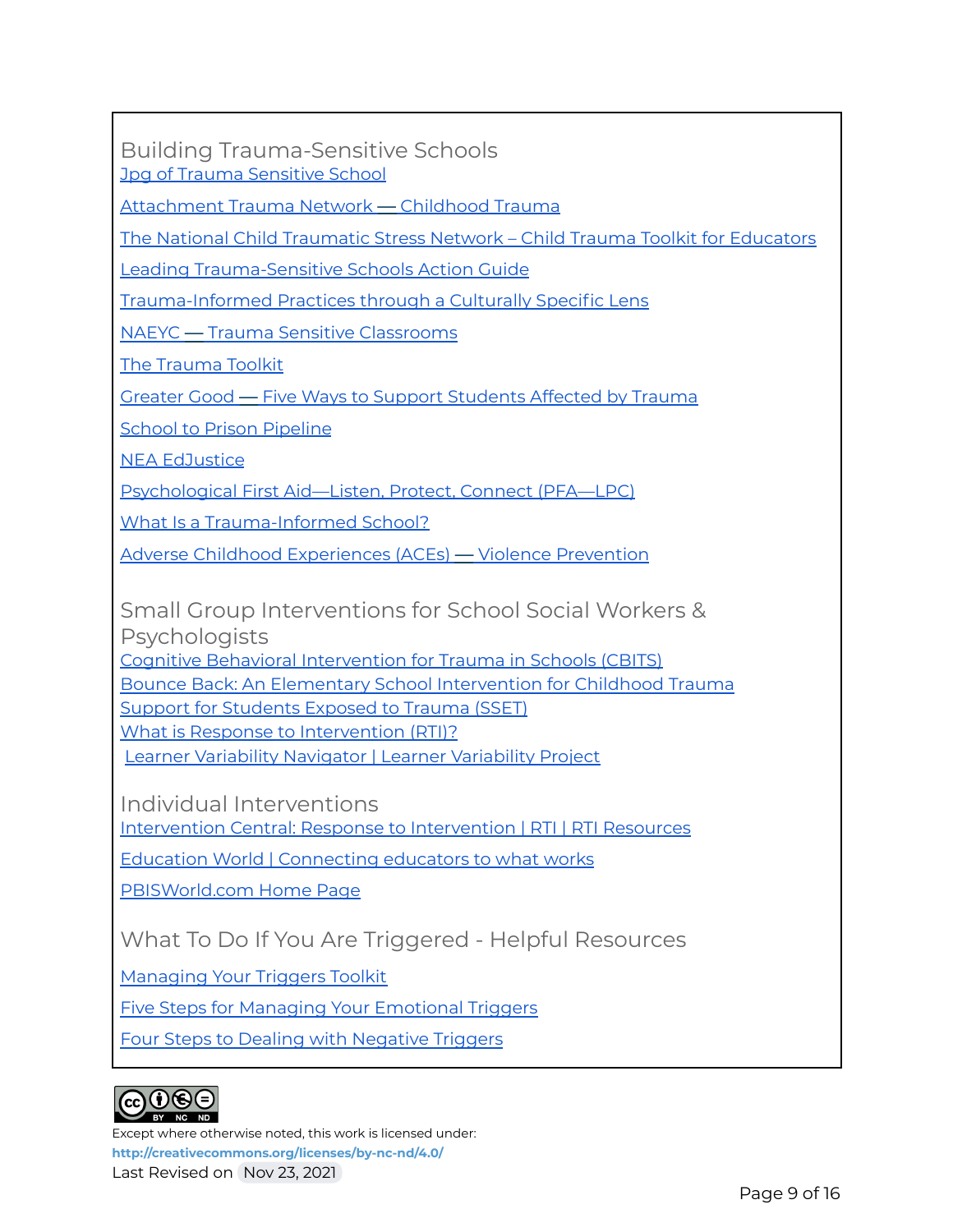Building Trauma-Sensitive Schools Jpg of Trauma [Sensitive](https://drive.google.com/file/d/14vB3m5k8cxzvM-W2E53sMI7_AXRpxAgQ/view?usp=sharing) School

[Attachment](https://www.attachmenttraumanetwork.org/wp-content/uploads/TSS-infographic-updated-8-2016-web.pdf) Trauma Network — Childhood Trauma

The National Child [Traumatic](https://traumaawareschools.org/resources-materials/3162/Child_Trauma_Toolkit_Final.pdf?1385464214) Stress Network – Child Trauma Toolkit for Educators

Leading [Trauma-Sensitive](https://safesupportivelearning.ed.gov/sites/default/files/TSS_Training_Package_Action_Guide_0.pdf) Schools Action Guide

[Trauma-Informed](https://nationallatinonetwork.org/images/Trauma-Informed-Principles-through-a-Culturally-Specific-Lens_FINAL.pdf) Practices through a Culturally Specific Lens

NAEYC — Trauma Sensitive [Classrooms](https://www.naeyc.org/resources/pubs/yc/may2015/trauma-sensitive-classrooms)

The [Trauma](http://bit.ly/TraumaToolkit) Toolkit

Greater Good — Five Ways to Support [Students](https://greatergood.berkeley.edu/article/item/five_ways_to_support_students_affected_by_trauma) Affected by Trauma

**School to Prison [Pipeline](https://www.aclu.org/issues/juvenile-justice/school-prison-pipeline)** 

NEA [EdJustice](https://neaedjustice.org/)

[Psychological](http://tsaforschools.org/pfa) First Aid—Listen, Protect, Connect (PFA—LPC)

What Is a [Trauma-Informed](http://traumaawareschools.org/traumaInSchools) School?

Adverse Childhood [Experiences](https://www.cdc.gov/violenceprevention/aces/) (ACEs) — Violence Prevention

Small Group Interventions for School Social Workers & **Psychologists** 

Cognitive Behavioral [Intervention](http://tsaforschools.org/cbits) for Trauma in Schools (CBITS)

Bounce Back: An Elementary School [Intervention](http://bouncebackprogram.org/) for Childhood Trauma

Support for [Students](http://tsaforschools.org/sset) Exposed to Trauma (SSET)

What is Response to [Intervention](http://www.rtinetwork.org/learn/what/whatisrti) (RTI)?

Learner Variability Navigator | Learner [Variability](https://lvp.digitalpromiseglobal.org/) Project

Individual Interventions

[Intervention](https://www.interventioncentral.org/) Central: Response to Intervention | RTI | RTI Resources

Education World | [Connecting](https://www.educationworld.com/) educators to what works

[PBISWorld.com](https://www.pbisworld.com/) Home Page

What To Do If You Are Triggered - Helpful Resources

[Managing](https://mediatorsbeyondborders.org/wp-content/uploads/2020/01/managing-your-triggers-toolkit.pdf) Your Triggers Toolkit

Five Steps for Managing Your [Emotional](https://www.psychologytoday.com/us/blog/wander-woman/201507/5-steps-managing-your-emotional-triggers) Triggers

Four Steps to Dealing with [Negative](https://bigvoicesrise.com/triggers/) Triggers

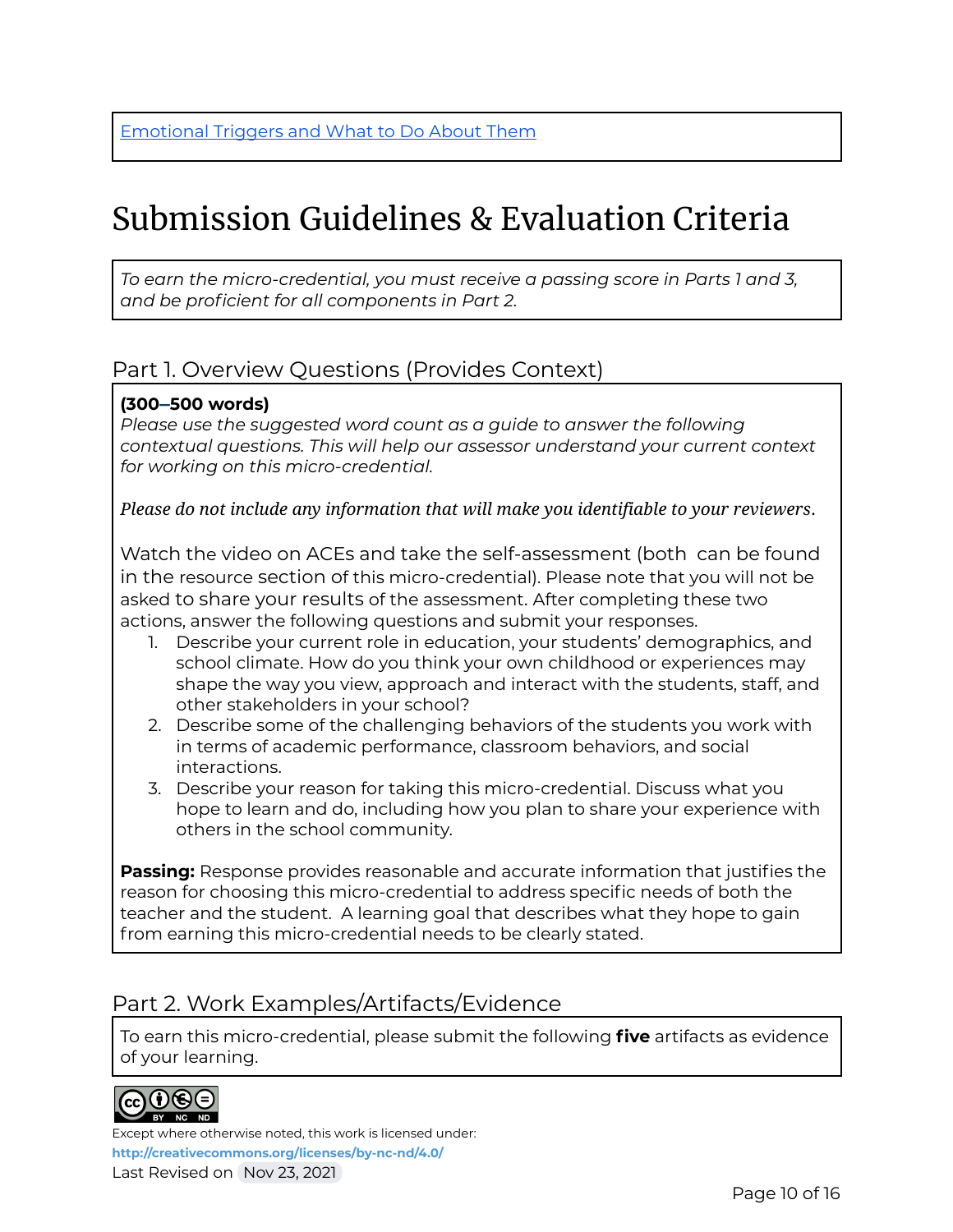### Submission Guidelines & Evaluation Criteria

*To earn the micro-credential, you must receive a passing score in Parts 1 and 3, and be proficient for all components in Part 2.*

### Part 1. Overview Questions (Provides Context)

### **(300–500 words)**

*Please use the suggested word count as a guide to answer the following contextual questions. This will help our assessor understand your current context for working on this micro-credential.*

*Please do not include any information that will make you identifiable to your reviewers*.

Watch the video on ACEs and take the self-assessment (both can be found in the resource section of this micro-credential). Please note that you will not be asked to share your results of the assessment. After completing these two actions, answer the following questions and submit your responses.

- 1. Describe your current role in education, your students' demographics, and school climate. How do you think your own childhood or experiences may shape the way you view, approach and interact with the students, staff, and other stakeholders in your school?
- 2. Describe some of the challenging behaviors of the students you work with in terms of academic performance, classroom behaviors, and social interactions.
- 3. Describe your reason for taking this micro-credential. Discuss what you hope to learn and do, including how you plan to share your experience with others in the school community.

**Passing:** Response provides reasonable and accurate information that justifies the reason for choosing this micro-credential to address specific needs of both the teacher and the student. A learning goal that describes what they hope to gain from earning this micro-credential needs to be clearly stated.

### Part 2. Work Examples/Artifacts/Evidence

To earn this micro-credential, please submit the following **five** artifacts as evidence of your learning.

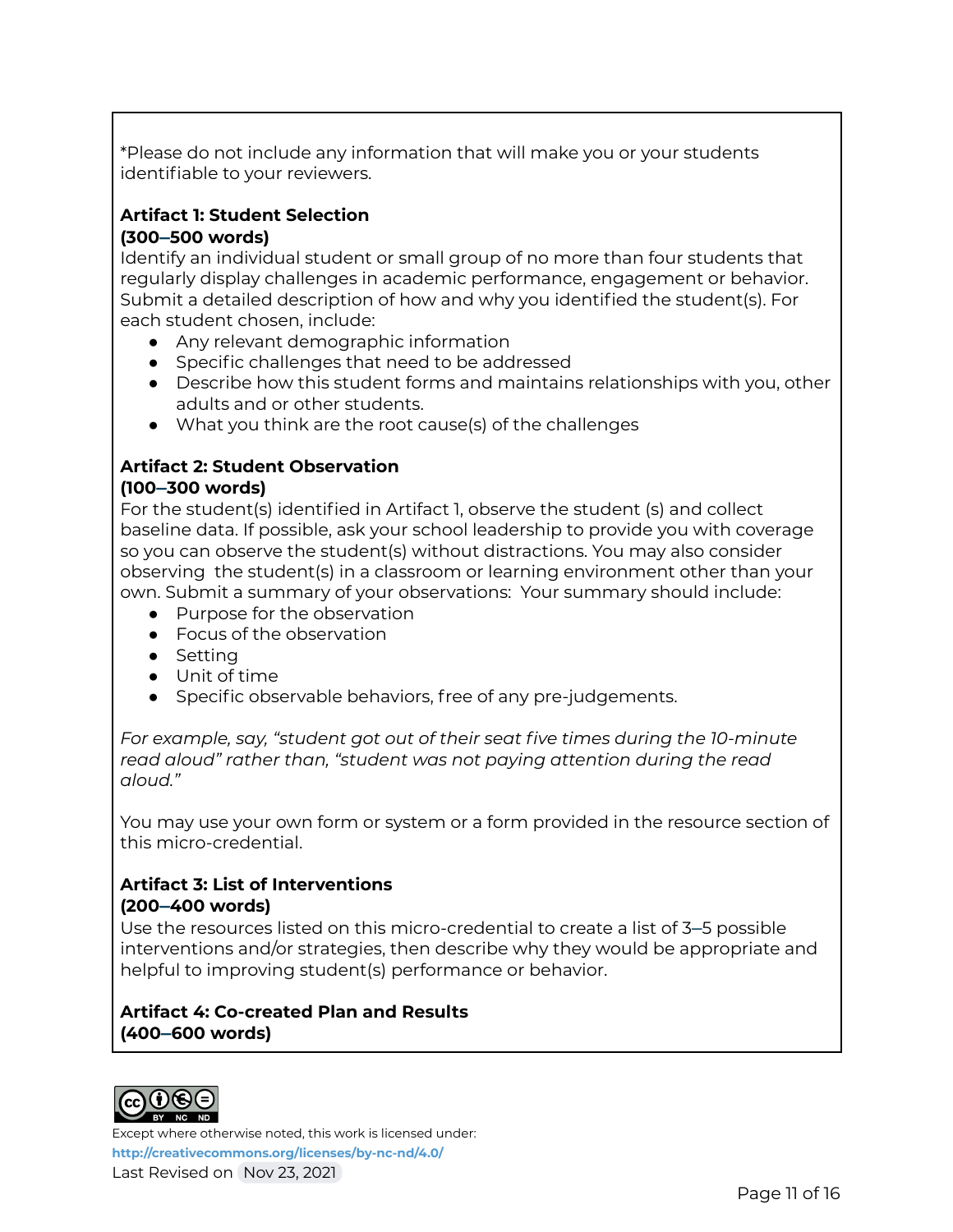\*Please do not include any information that will make you or your students identifiable to your reviewers.

### **Artifact 1: Student Selection**

**(300–500 words)**

Identify an individual student or small group of no more than four students that regularly display challenges in academic performance, engagement or behavior. Submit a detailed description of how and why you identified the student(s). For each student chosen, include:

- Any relevant demographic information
- Specific challenges that need to be addressed
- Describe how this student forms and maintains relationships with you, other adults and or other students.
- What you think are the root cause(s) of the challenges

### **Artifact 2: Student Observation (100–300 words)**

For the student(s) identified in Artifact 1, observe the student (s) and collect baseline data. If possible, ask your school leadership to provide you with coverage so you can observe the student(s) without distractions. You may also consider observing the student(s) in a classroom or learning environment other than your own. Submit a summary of your observations: Your summary should include:

- Purpose for the observation
- Focus of the observation
- Setting
- Unit of time
- Specific observable behaviors, free of any pre-judgements.

*For example, say, "student got out of their seat five times during the 10-minute read aloud" rather than, "student was not paying attention during the read aloud."*

You may use your own form or system or a form provided in the resource section of this micro-credential.

### **Artifact 3: List of Interventions (200–400 words)**

Use the resources listed on this micro-credential to create a list of 3–5 possible interventions and/or strategies, then describe why they would be appropriate and helpful to improving student(s) performance or behavior.

**Artifact 4: Co-created Plan and Results (400–600 words)**

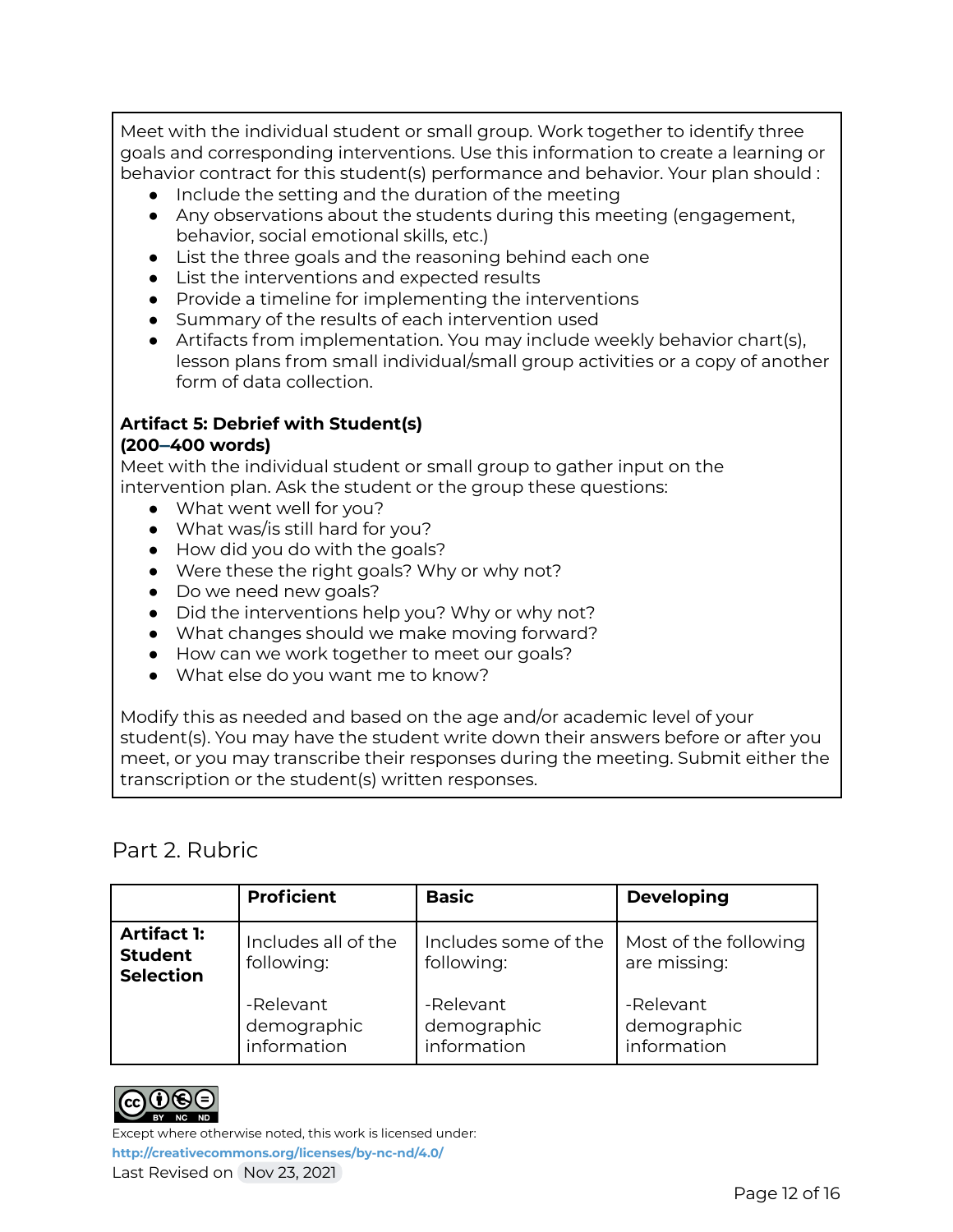Meet with the individual student or small group. Work together to identify three goals and corresponding interventions. Use this information to create a learning or behavior contract for this student(s) performance and behavior. Your plan should :

- Include the setting and the duration of the meeting
- Any observations about the students during this meeting (engagement, behavior, social emotional skills, etc.)
- List the three goals and the reasoning behind each one
- List the interventions and expected results
- Provide a timeline for implementing the interventions
- Summary of the results of each intervention used
- Artifacts from implementation. You may include weekly behavior chart(s), lesson plans from small individual/small group activities or a copy of another form of data collection.

### **Artifact 5: Debrief with Student(s)**

#### **(200–400 words)**

Meet with the individual student or small group to gather input on the intervention plan. Ask the student or the group these questions:

- What went well for you?
- What was/is still hard for you?
- How did you do with the goals?
- Were these the right goals? Why or why not?
- Do we need new goals?
- Did the interventions help you? Why or why not?
- What changes should we make moving forward?
- How can we work together to meet our goals?
- What else do you want me to know?

Modify this as needed and based on the age and/or academic level of your student(s). You may have the student write down their answers before or after you meet, or you may transcribe their responses during the meeting. Submit either the transcription or the student(s) written responses.

### Part 2. Rubric

|                                                          | <b>Proficient</b>                       | <b>Basic</b>                            | <b>Developing</b>                       |
|----------------------------------------------------------|-----------------------------------------|-----------------------------------------|-----------------------------------------|
| <b>Artifact 1:</b><br><b>Student</b><br><b>Selection</b> | Includes all of the<br>following:       | Includes some of the<br>following:      | Most of the following<br>are missing:   |
|                                                          | -Relevant<br>demographic<br>information | -Relevant<br>demographic<br>information | -Relevant<br>demographic<br>information |

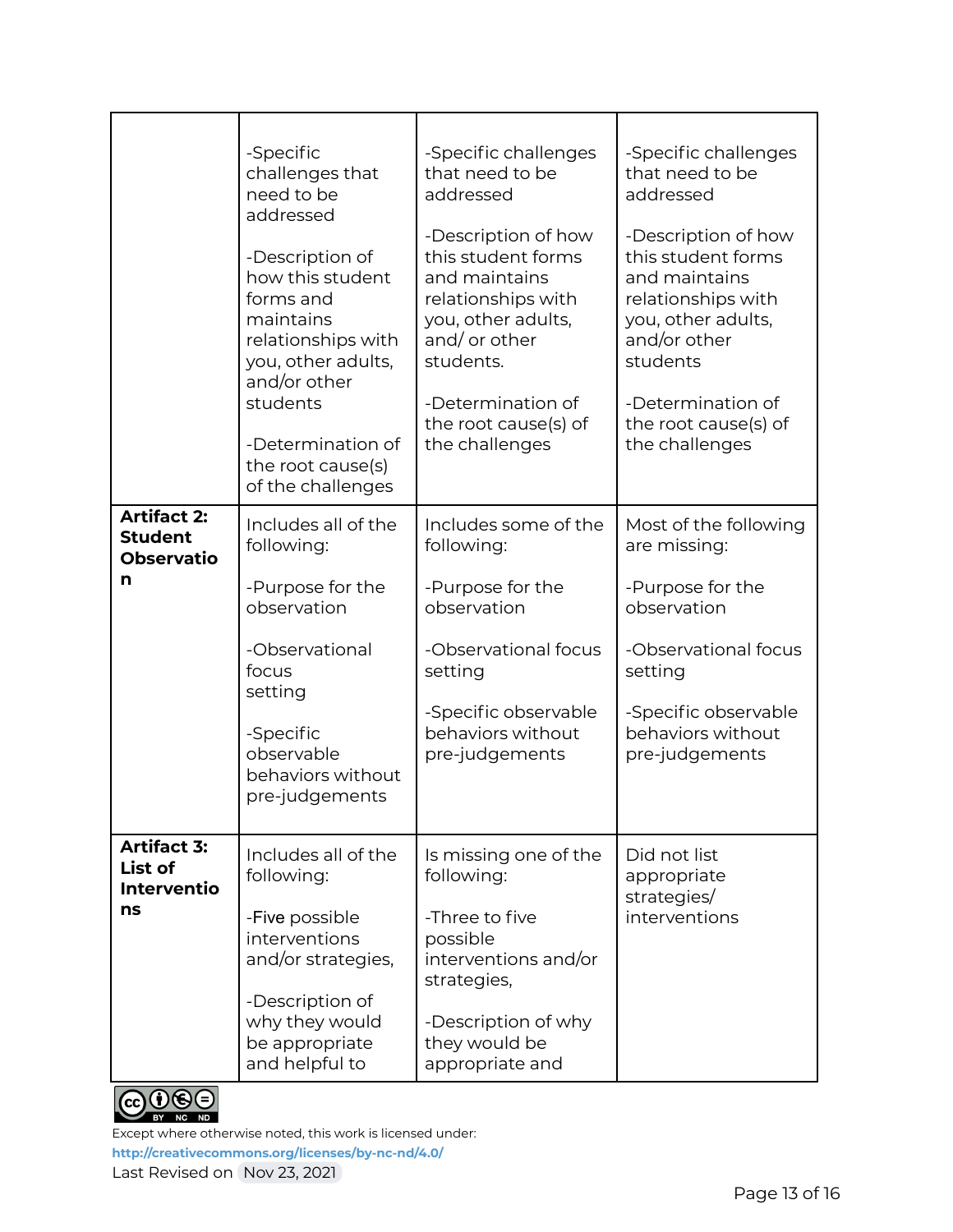|                                                                | -Specific<br>challenges that<br>need to be<br>addressed<br>-Description of<br>how this student<br>forms and<br>maintains<br>relationships with<br>you, other adults,<br>and/or other<br>students<br>-Determination of<br>the root cause(s)<br>of the challenges | -Specific challenges<br>that need to be<br>addressed<br>-Description of how<br>this student forms<br>and maintains<br>relationships with<br>you, other adults,<br>and/or other<br>students.<br>-Determination of<br>the root cause(s) of<br>the challenges | -Specific challenges<br>that need to be<br>addressed<br>-Description of how<br>this student forms<br>and maintains<br>relationships with<br>you, other adults,<br>and/or other<br>students<br>-Determination of<br>the root cause(s) of<br>the challenges |
|----------------------------------------------------------------|-----------------------------------------------------------------------------------------------------------------------------------------------------------------------------------------------------------------------------------------------------------------|------------------------------------------------------------------------------------------------------------------------------------------------------------------------------------------------------------------------------------------------------------|-----------------------------------------------------------------------------------------------------------------------------------------------------------------------------------------------------------------------------------------------------------|
| <b>Artifact 2:</b><br><b>Student</b><br><b>Observatio</b><br>n | Includes all of the<br>following:<br>-Purpose for the<br>observation<br>-Observational<br>focus<br>setting<br>-Specific<br>observable<br>behaviors without<br>pre-judgements                                                                                    | Includes some of the<br>following:<br>-Purpose for the<br>observation<br>-Observational focus<br>setting<br>-Specific observable<br>behaviors without<br>pre-judgements                                                                                    | Most of the following<br>are missing:<br>-Purpose for the<br>observation<br>-Observational focus<br>setting<br>-Specific observable<br>behaviors without<br>pre-judgements                                                                                |
| <b>Artifact 3:</b><br>List of<br><b>Interventio</b><br>ns      | Includes all of the<br>following:<br>-Five possible<br>interventions<br>and/or strategies,<br>-Description of<br>why they would<br>be appropriate<br>and helpful to                                                                                             | Is missing one of the<br>following:<br>-Three to five<br>possible<br>interventions and/or<br>strategies,<br>-Description of why<br>they would be<br>appropriate and                                                                                        | Did not list<br>appropriate<br>strategies/<br>interventions                                                                                                                                                                                               |



Except where otherwise noted, this work is licensed under:

**<http://creativecommons.org/licenses/by-nc-nd/4.0/>**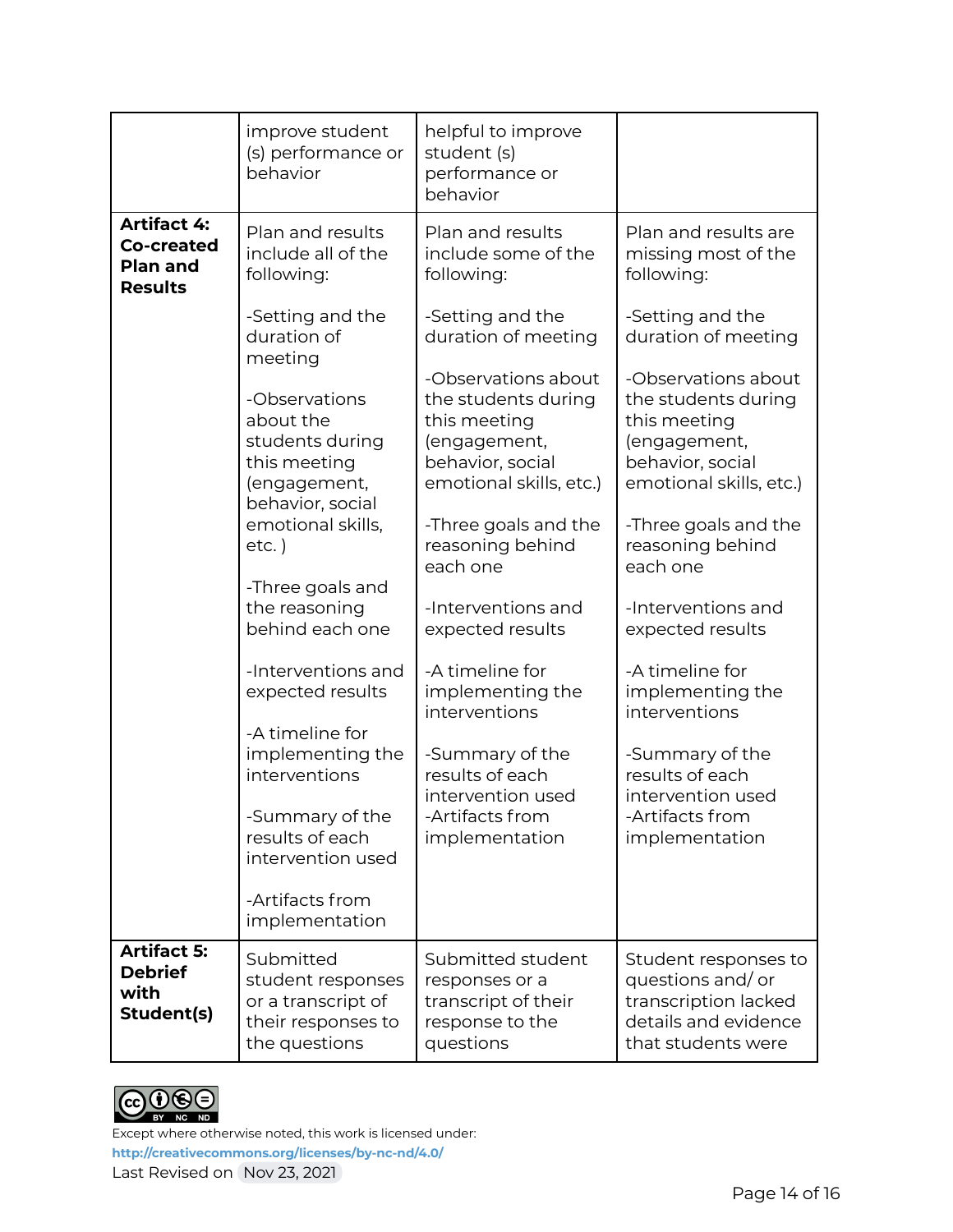|                                                                              | improve student<br>(s) performance or<br>behavior                                                 | helpful to improve<br>student (s)<br>performance or<br>behavior                                                           |                                                                                                                           |
|------------------------------------------------------------------------------|---------------------------------------------------------------------------------------------------|---------------------------------------------------------------------------------------------------------------------------|---------------------------------------------------------------------------------------------------------------------------|
| <b>Artifact 4:</b><br><b>Co-created</b><br><b>Plan and</b><br><b>Results</b> | Plan and results<br>include all of the<br>following:                                              | Plan and results<br>include some of the<br>following:                                                                     | Plan and results are<br>missing most of the<br>following:                                                                 |
|                                                                              | -Setting and the<br>duration of<br>meeting                                                        | -Setting and the<br>duration of meeting                                                                                   | -Setting and the<br>duration of meeting                                                                                   |
|                                                                              | -Observations<br>about the<br>students during<br>this meeting<br>(engagement,<br>behavior, social | -Observations about<br>the students during<br>this meeting<br>(engagement,<br>behavior, social<br>emotional skills, etc.) | -Observations about<br>the students during<br>this meeting<br>(engagement,<br>behavior, social<br>emotional skills, etc.) |
|                                                                              | emotional skills,<br>$etc.$ )<br>-Three goals and                                                 | -Three goals and the<br>reasoning behind<br>each one                                                                      | -Three goals and the<br>reasoning behind<br>each one                                                                      |
|                                                                              | the reasoning<br>behind each one                                                                  | -Interventions and<br>expected results                                                                                    | -Interventions and<br>expected results                                                                                    |
|                                                                              | -Interventions and<br>expected results                                                            | -A timeline for<br>implementing the<br>interventions                                                                      | -A timeline for<br>implementing the<br>interventions                                                                      |
|                                                                              | -A timeline for<br>implementing the<br>interventions                                              | -Summary of the<br>results of each<br>intervention used                                                                   | -Summary of the<br>results of each<br>intervention used                                                                   |
|                                                                              | -Summary of the<br>results of each<br>intervention used                                           | -Artifacts from<br>implementation                                                                                         | -Artifacts from<br>implementation                                                                                         |
|                                                                              | -Artifacts from<br>implementation                                                                 |                                                                                                                           |                                                                                                                           |
| <b>Artifact 5:</b><br><b>Debrief</b><br>with<br>Student(s)                   | Submitted<br>student responses<br>or a transcript of<br>their responses to<br>the questions       | Submitted student<br>responses or a<br>transcript of their<br>response to the<br>questions                                | Student responses to<br>questions and/or<br>transcription lacked<br>details and evidence<br>that students were            |

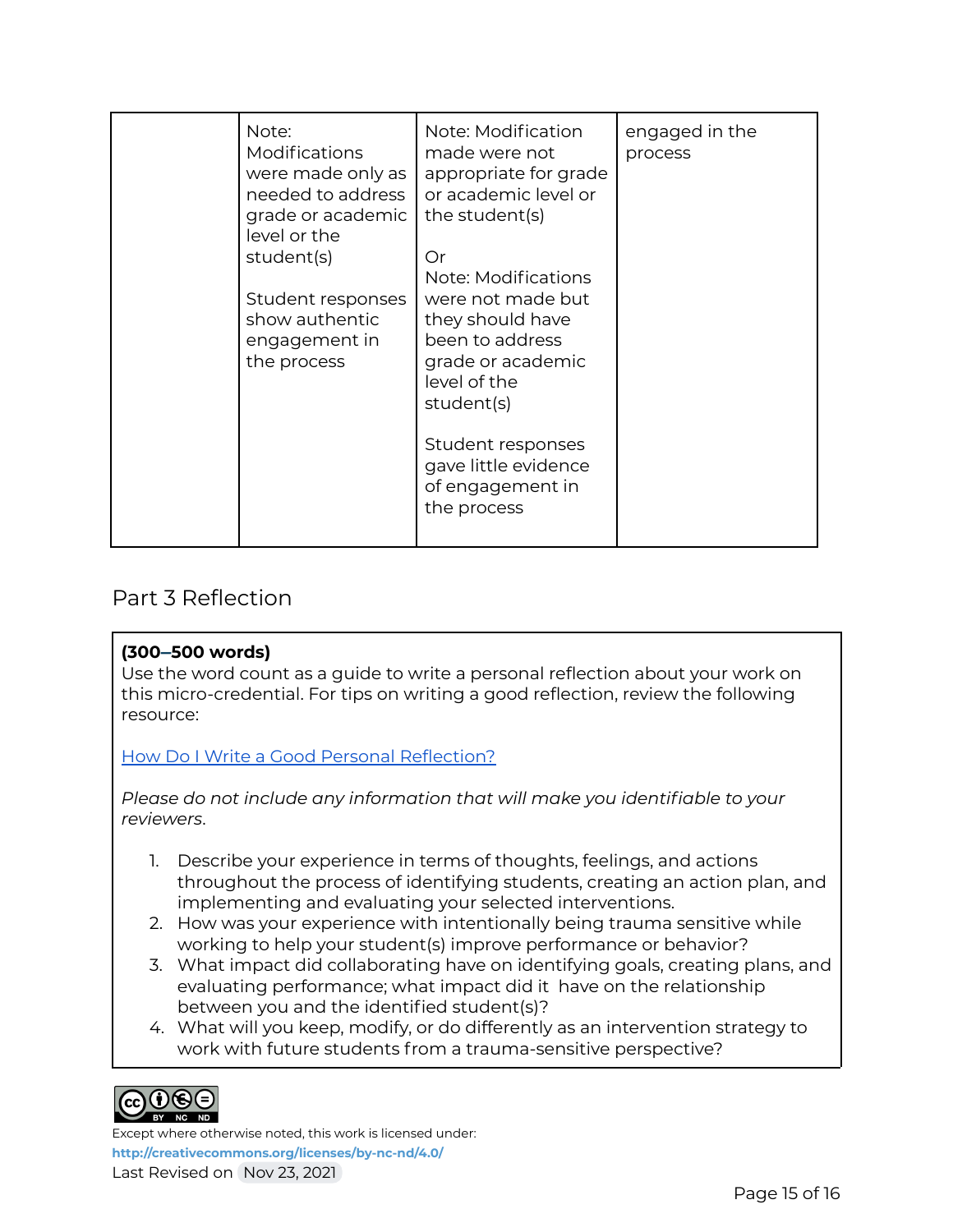| Note:<br>Modifications<br>were made only as<br>needed to address<br>grade or academic<br>level or the<br>student(s)<br>Student responses<br>show authentic<br>engagement in<br>the process | Note: Modification<br>made were not<br>appropriate for grade<br>or academic level or<br>the student(s)<br>Or<br>Note: Modifications<br>were not made but<br>they should have<br>been to address<br>grade or academic<br>level of the<br>student(s)<br>Student responses<br>gave little evidence<br>of engagement in<br>the process | engaged in the<br>process |
|--------------------------------------------------------------------------------------------------------------------------------------------------------------------------------------------|------------------------------------------------------------------------------------------------------------------------------------------------------------------------------------------------------------------------------------------------------------------------------------------------------------------------------------|---------------------------|
|--------------------------------------------------------------------------------------------------------------------------------------------------------------------------------------------|------------------------------------------------------------------------------------------------------------------------------------------------------------------------------------------------------------------------------------------------------------------------------------------------------------------------------------|---------------------------|

### Part 3 Reflection

### **(300–500 words)**

Use the word count as a guide to write a personal reflection about your work on this micro-credential. For tips on writing a good reflection, review the following resource:

### How Do I Write a Good Personal [Reflection?](https://isthismystory.com/learning/how-do-i-write-a-good-personal-reflection/)

*Please do not include any information that will make you identifiable to your reviewers*.

- 1. Describe your experience in terms of thoughts, feelings, and actions throughout the process of identifying students, creating an action plan, and implementing and evaluating your selected interventions.
- 2. How was your experience with intentionally being trauma sensitive while working to help your student(s) improve performance or behavior?
- 3. What impact did collaborating have on identifying goals, creating plans, and evaluating performance; what impact did it have on the relationship between you and the identified student(s)?
- 4. What will you keep, modify, or do differently as an intervention strategy to work with future students from a trauma-sensitive perspective?



Except where otherwise noted, this work is licensed under:

**<http://creativecommons.org/licenses/by-nc-nd/4.0/>**